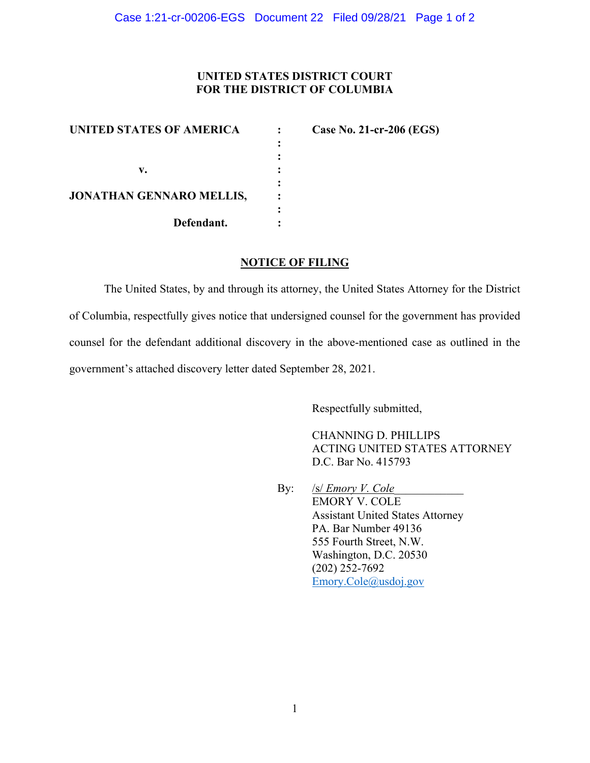## **UNITED STATES DISTRICT COURT FOR THE DISTRICT OF COLUMBIA**

| <b>UNITED STATES OF AMERICA</b> | Case No. 21-cr-206 (EGS) |
|---------------------------------|--------------------------|
|                                 |                          |
|                                 |                          |
| v.                              |                          |
| <b>JONATHAN GENNARO MELLIS,</b> |                          |
| Defendant.                      |                          |

#### **NOTICE OF FILING**

The United States, by and through its attorney, the United States Attorney for the District of Columbia, respectfully gives notice that undersigned counsel for the government has provided counsel for the defendant additional discovery in the above-mentioned case as outlined in the government's attached discovery letter dated September 28, 2021.

Respectfully submitted,

CHANNING D. PHILLIPS ACTING UNITED STATES ATTORNEY D.C. Bar No. 415793

By: */s/ <i>Emory V. Cole* EMORY V. COLE Assistant United States Attorney PA. Bar Number 49136 555 Fourth Street, N.W. Washington, D.C. 20530 (202) 252-7692 Emory.Cole@usdoj.gov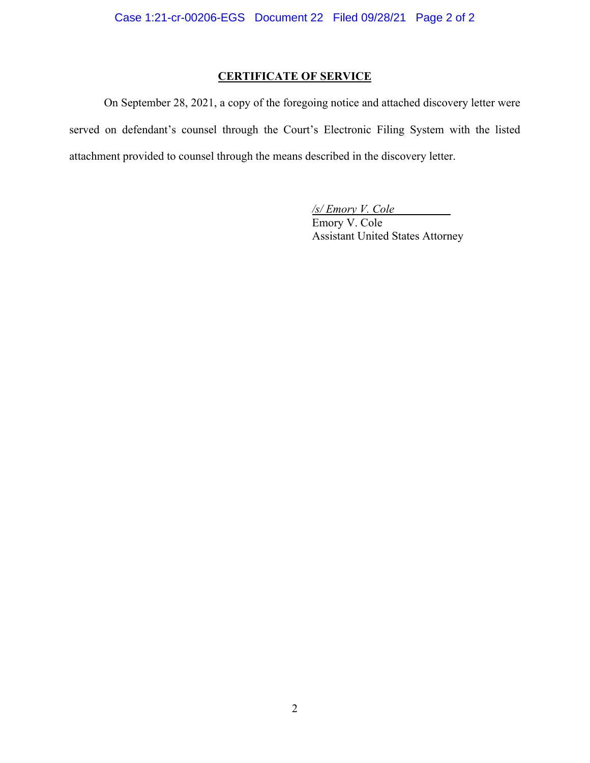## **CERTIFICATE OF SERVICE**

 On September 28, 2021, a copy of the foregoing notice and attached discovery letter were served on defendant's counsel through the Court's Electronic Filing System with the listed attachment provided to counsel through the means described in the discovery letter.

> */s/ Emory V. Cole*  Emory V. Cole Assistant United States Attorney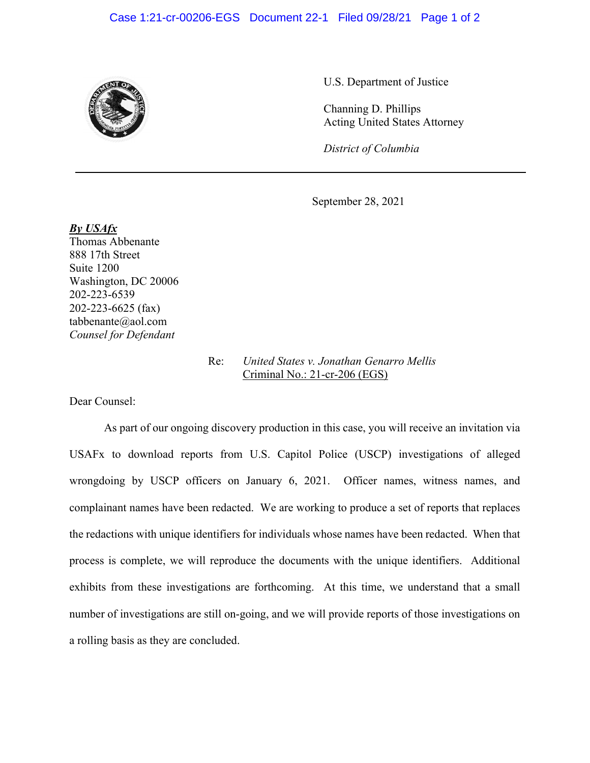#### Case 1:21-cr-00206-EGS Document 22-1 Filed 09/28/21 Page 1 of 2



U.S. Department of Justice

Channing D. Phillips Acting United States Attorney

*District of Columbia*

September 28, 2021

*By USAfx*  Thomas Abbenante 888 17th Street Suite 1200 Washington, DC 20006 202-223-6539 202-223-6625 (fax) tabbenante@aol.com *Counsel for Defendant* 

## Re: *United States v. Jonathan Genarro Mellis*  Criminal No.: 21-cr-206 (EGS)

Dear Counsel:

 As part of our ongoing discovery production in this case, you will receive an invitation via USAFx to download reports from U.S. Capitol Police (USCP) investigations of alleged wrongdoing by USCP officers on January 6, 2021. Officer names, witness names, and complainant names have been redacted. We are working to produce a set of reports that replaces the redactions with unique identifiers for individuals whose names have been redacted. When that process is complete, we will reproduce the documents with the unique identifiers. Additional exhibits from these investigations are forthcoming. At this time, we understand that a small number of investigations are still on-going, and we will provide reports of those investigations on a rolling basis as they are concluded.